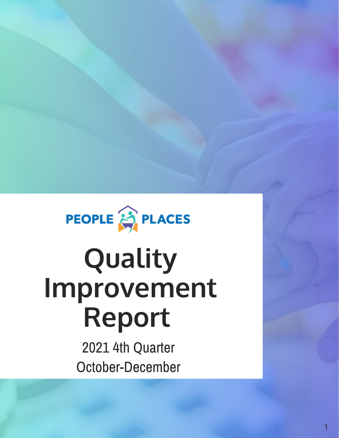

# **Quality Improvement Report**

2021 4th Quarter October-December

1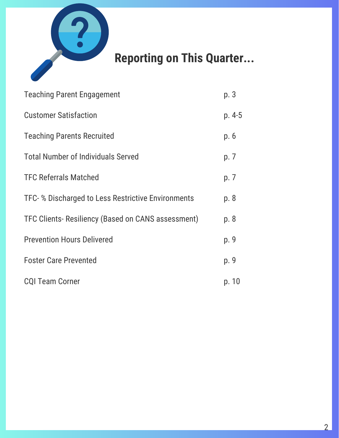

#### **Reporting on This Quarter...**

| <b>Teaching Parent Engagement</b>                  | p. 3    |
|----------------------------------------------------|---------|
| <b>Customer Satisfaction</b>                       | $p.4-5$ |
| <b>Teaching Parents Recruited</b>                  | p. 6    |
| <b>Total Number of Individuals Served</b>          | p. 7    |
| <b>TFC Referrals Matched</b>                       | p. 7    |
| TFC- % Discharged to Less Restrictive Environments | p. 8    |
| TFC Clients-Resiliency (Based on CANS assessment)  | p. 8    |
| <b>Prevention Hours Delivered</b>                  | p. 9    |
| <b>Foster Care Prevented</b>                       | p. 9    |
| <b>CQI Team Corner</b>                             | p. 10   |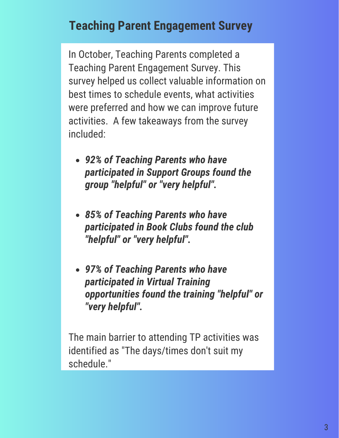#### **Teaching Parent Engagement Survey**

In October, Teaching Parents completed a Teaching Parent Engagement Survey. This survey helped us collect valuable information on best times to schedule events, what activities were preferred and how we can improve future activities. A few takeaways from the survey included:

- *92% of Teaching Parents who have participated in Support Groups found the group "helpful" or "very helpful".*
- *85% of Teaching Parents who have participated in Book Clubs found the club "helpful" or "very helpful".*
- *97% of Teaching Parents who have participated in Virtual Training opportunities found the training "helpful" or "very helpful".*

The main barrier to attending TP activities was identified as "The days/times don't suit my schedule."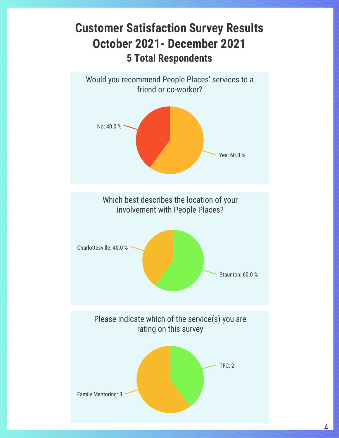#### **Customer Satisfaction Survey Results October 2021- December 2021 5 Total Respondents**

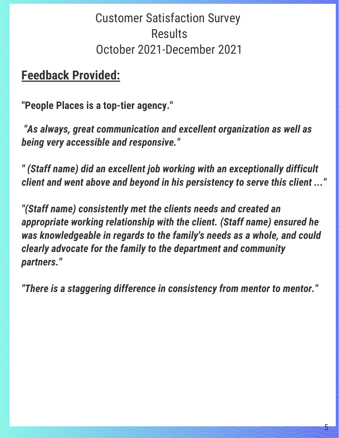#### Customer Satisfaction Survey **Results** October 2021-December 2021

#### **Feedback Provided:**

**"People Places is a top-tier agency."**

 *"As always, great communication and excellent organization as well as being very accessible and responsive."*

*" (Staff name) did an excellent job working with an exceptionally difficult client and went above and beyond in his persistency to serve this client ..."*

*"(Staff name) consistently met the clients needs and created an appropriate working relationship with the client. (Staff name) ensured he was knowledgeable in regards to the family's needs as a whole, and could clearly advocate for the family to the department and community partners."*

*"There is a staggering difference in consistency from mentor to mentor."*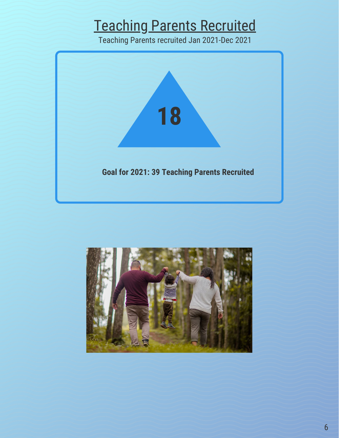## Teaching Parents Recruited

Teaching Parents recruited Jan 2021-Dec 2021



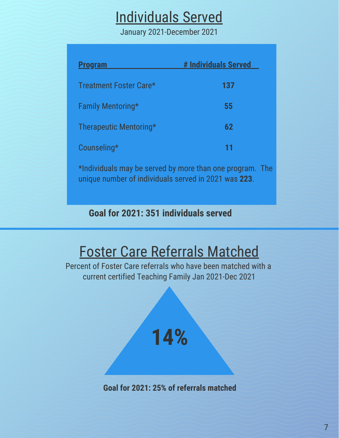## Individuals Served

January 2021-December 2021

| <b>Program</b>         | # Individuals Served |
|------------------------|----------------------|
| Treatment Foster Care* | 137                  |
| Family Mentoring*      | 55                   |
| Therapeutic Mentoring* | 62                   |
| Counseling*            | 11                   |

\*Individuals may be served by more than one program. The unique number of individuals served in 2021 was **223**.

**Goal for 2021: 351 individuals served**

## Foster Care Referrals Matched

Percent of Foster Care referrals who have been matched with a current certified Teaching Family Jan 2021-Dec 2021



**14%**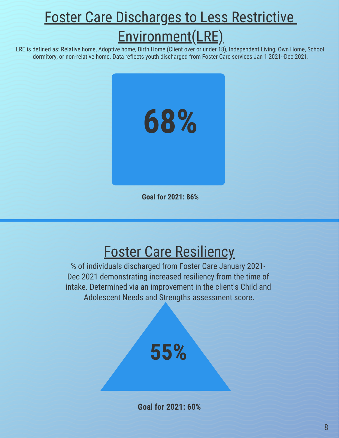## **Foster Care Discharges to Less Restrictive** Environment(LRE)

LRE is defined as: Relative home, Adoptive home, Birth Home (Client over or under 18), Independent Living, Own Home, School dormitory, or non-relative home. Data reflects youth discharged from Foster Care services Jan 1 2021--Dec 2021.



**Goal for 2021: 86%**

## Foster Care Resiliency

% of individuals discharged from Foster Care January 2021- Dec 2021 demonstrating increased resiliency from the time of intake. Determined via an improvement in the client's Child and Adolescent Needs and Strengths assessment score.

## **55%**

**Goal for 2021: 60%**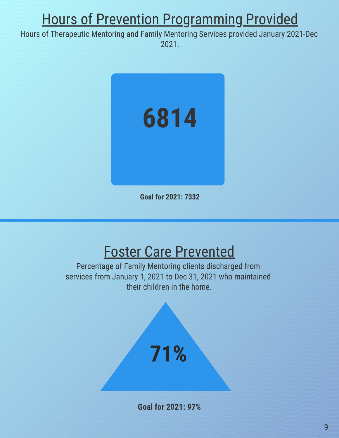## Hours of Prevention Programming Provided

Hours of Therapeutic Mentoring and Family Mentoring Services provided January 2021-Dec 2021.



**Goal for 2021: 7332**

#### Foster Care Prevented

Percentage of Family Mentoring clients discharged from services from January 1, 2021 to Dec 31, 2021 who maintained their children in the home.



**Goal for 2021: 97%**